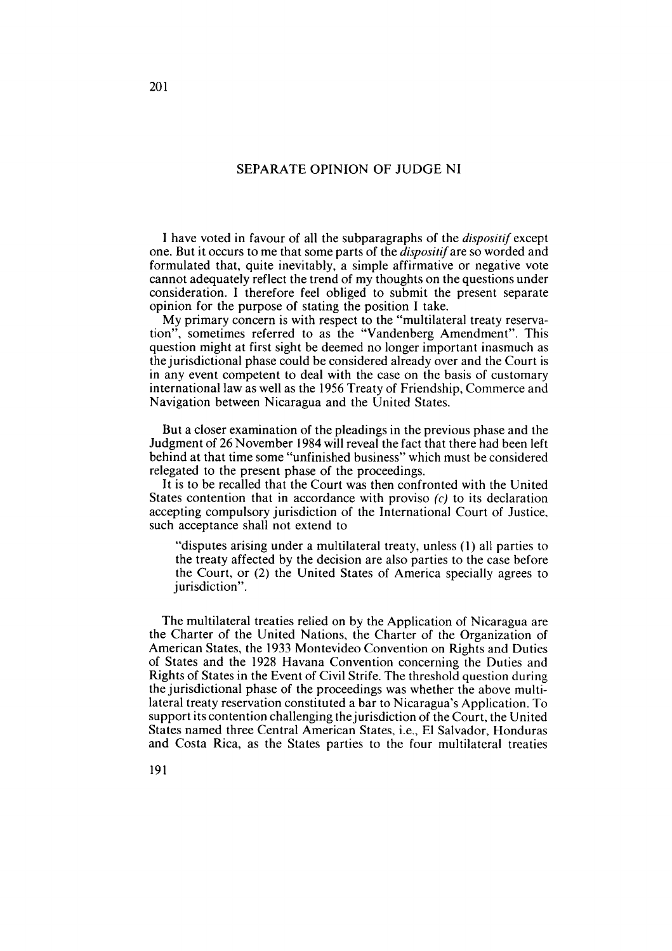## SEPARATE OPINION OF JUDGE NI

1 have voted in favour of al1 the subparagraphs of the dispositif except one. But it occurs to me that some parts of the dispositifare so worded and formulated that, quite inevitably, a simple affirmative or negative vote cannot adequately reflect the trend of my thoughts on the questions under consideration. **1** therefore feel obliged to submit the present separate opinion for the purpose of stating the position 1 take.

My primary concern is with respect to the "multilateral treaty reservation", sometimes referred to as the "Vandenberg Amendment". This question might at first sight be deemed no longer important inasmuch as the jurisdictional phase could be considered already over and the Court is in any event competent to deal with the case on the basis of customary international law as well as the 1956 Treaty of Friendship, Commerce and Navigation between Nicaragua and the United States.

But a closer examination of the pleadings in the previous phase and the Judgment of 26 November 1984 will reveal the fact that there had been left behind at that time some "unfinished business" which must be considered relegated to the present phase of the proceedings.

It is to be recalled that the Court was then confronted with the United States contention that in accordance with proviso  $(c)$  to its declaration accepting compulsory jurisdiction of the International Court of Justice, such acceptance shall not extend to

"disputes arising under a multilateral treaty, unless (1) al1 parties to the treaty affected by the decision are also parties to the case before the Court, or (2) the United States of America specially agrees to jurisdiction".

The multilateral treaties relied on by the Application of Nicaragua are the Charter of the United Nations, the Charter of the Organization of American States, the 1933 Montevideo Convention on Rights and Duties of States and the 1928 Havana Convention concerning the Duties and Rights of States in the Event of Civil Strife. The threshold question during the jurisdictional phase of the proceedings was whether the above multilateral treaty reservation constituted a bar to Nicaragua's Application. To support its contention challenging the jurisdiction of the Court, the United States named three Central American States, *i.e.*, El Salvador, Honduras and Costa Rica, as the States parties to the four multilateral treaties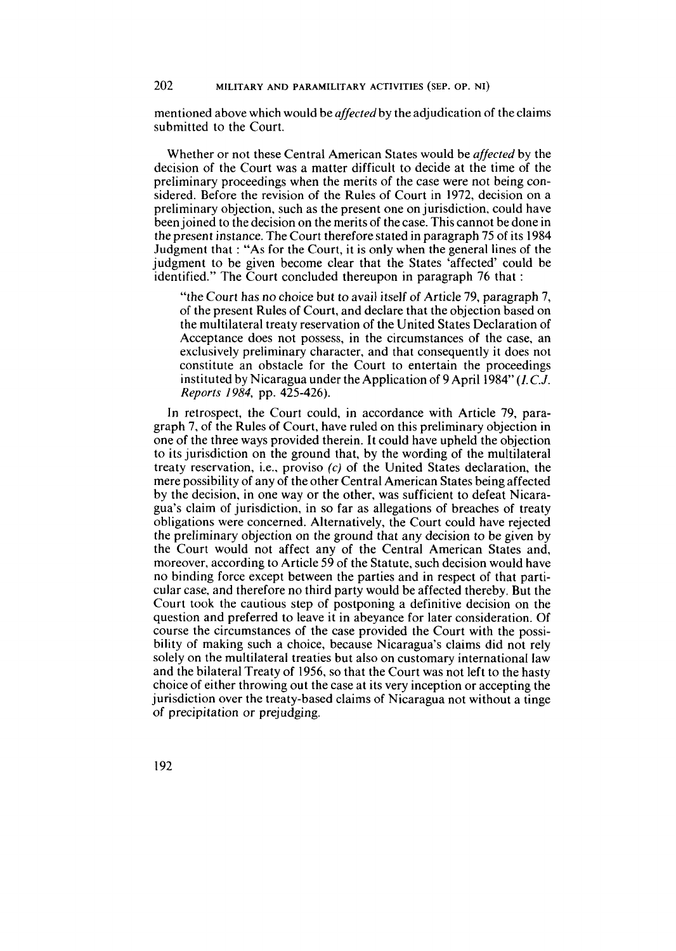mentioned above which would be **affected** by the adjudication of the claims submitted to the Court.

Whether or not these Central American States would be **affected** by the decision of the Court was a matter difficult to decide at the time of the preliminary proceedings when the merits of the case were not being considered. Before the revision of the Rules of Court in 1972, decision on a preliminary objection, such as the present one on jurisdiction, could have been joined to the decision on the merits of the case. This cannot be done in the present instance. The Court therefore stated in paragraph 75 of its 1984 Judgment that : "As for the Court, it is only when the general lines of the judgment to be given become clear that the States 'affected' could be identified." The Court concluded thereupon in paragraph 76 that :

"the Court has no choice but to avail itself of Article 79, paragraph 7, of the present Rules of Court, and declare that the objection based on the multilateral treaty reservation of the United States Declaration of Acceptance does not possess, in the circumstances of the case, an exclusively preliminary character, and that consequently it does not constitute an obstacle for the Court to entertain the proceedings instituted by Nicaragua under the Application of 9 April 1984" *(I.C.J.*  **Reports** 1984, pp. 425-426).

In retrospect, the Court could, in accordance with Article 79, paragraph 7, of the Rules of Court, have ruled on this preliminary objection in one of the three ways provided therein. It could have upheld the objection to its jurisdiction on the ground that, by the wording of the multilateral treaty reservation, i.e., proviso (c) of the United States declaration, the mere possibility of any of the other Central American States being affected by the decision, in one way or the other, was sufficient to defeat Nicaragua's claim of jurisdiction, in so far as allegations of breaches of treaty obligations were concerned. Alternatively, the Court could have rejected the preliminary objection on the ground that any decision to be given by the Court would not affect any of the Central American States and, moreover, according to Article 59 of the Statute, such decision would have no binding force except between the parties and in respect of that particular case, and therefore no third party would be affected thereby. But the Court took the cautious step of postponing a definitive decision on the question and preferred to leave it in abeyance for later consideration. Of course the circumstances of the case provided the Court with the possibility of making such a choice, because Nicaragua's claims did not rely solely on the multilateral treaties but also on customary international law and the bilateral Treaty of 1956, so that the Court was not left to the hasty choice of either throwing out the case at its very inception or accepting the jurisdiction over the treaty-based claims of Nicaragua not without a tinge of precipitation or prejudging.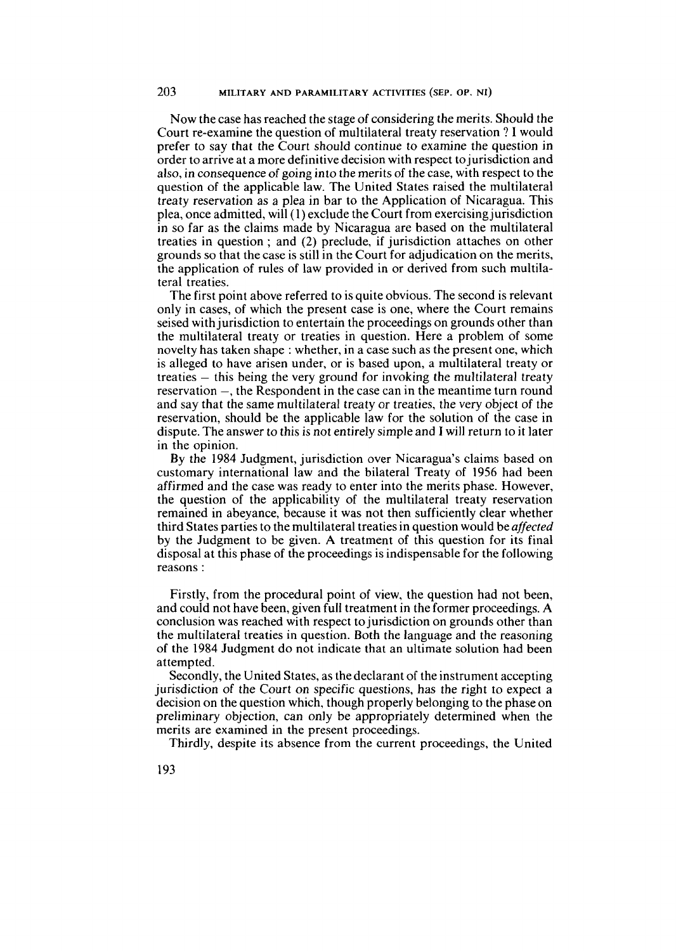Now the case has reached the stage of considering the merits. Should the Court re-examine the question of multilateral treaty reservation ? **1** would prefer to say that the Court should continue to examine the question in order to arrive at a more definitive decision with respect tojurisdiction and also, in consequence of going into the merits of the case, with respect to the question of the applicable law. The United States raised the multilateral treaty reservation as a plea in bar to the Application of Nicaragua. This plea, once admitted, will(1) exclude the Court from exercising jurisdiction in so far as the claims made by Nicaragua are based on the multilateral treaties in question ; and (2) preclude, if jurisdiction attaches on other grounds so that the case is still in the Court for adjudication on the merits, the application of rules of law provided in or derived from such multilateral treaties.

The first point above referred to is quite obvious. The second is relevant only in cases, of which the present case is one, where the Court remains seised with jurisdiction to entertain the proceedings on grounds other than the multilateral treaty or treaties in question. Here a problem of some novelty has taken shape : whether, in a case such as the present one, which is alleged to have arisen under, or is based upon, a multilateral treaty or treaties - this being the very ground for invoking the multilateral treaty reservation –, the Respondent in the case can in the meantime turn round and say that the same multilateral treaty or treaties, the very object of the reservation, should be the applicable law for the solution of the case in dispute. The answer to this is not entirely simple and **I** will return toit later in the opinion.

By the 1984 Judgment, jurisdiction over Nicaragua's claims based on customary international law and the bilateral Treaty of 1956 had been affirmed and the case was ready to enter into the merits phase. However, the question of the applicability of the multilateral treaty reservation remained in abeyance, because it was not then sufficiently clear whether third States parties to the multilateral treaties in question would be affected by the Judgment to be given. A treatment of this question for its final disposa1 at this phase of the proceedings is indispensable for the following reasons :

Firstly, from the procedural point of view, the question had not been, and could not have been, given full treatment in the former proceedings. A conclusion was reached with respect to jurisdiction on grounds other than the multilateral treaties in question. Both the language and the reasoning of the 1984 Judgment do not indicate that an ultimate solution had been attempted.

Secondly, the United States, as the declarant of the instrument accepting jurisdiction of the Court on specific questions, has the right to expect a decision on the question which, though properly belonging to the phase on preliminary objection, can only be appropriately determined when the merits are examined in the present proceedings.

Thirdly, despite its absence from the current proceedings, the United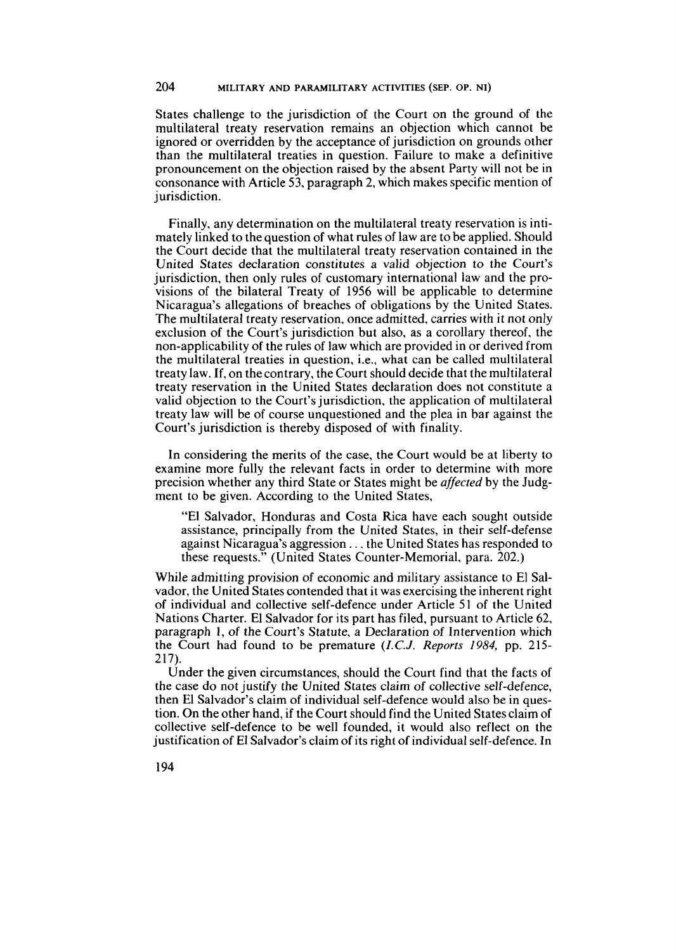States challenge to the jurisdiction of the Court on the ground of the multilateral treaty reservation remains an objection which cannot be ignored or overridden by the acceptance of jurisdiction on grounds other than the multilateral treaties in question. Failure to make a definitive pronouncement on the objection raised by the absent Party will not be in consonance with Article 53, paragraph 2, which makes specific mention of jurisdiction.

Finally, any determination on the multilateral treaty reservation is intimately linked to the question of what rules of law are to be applied. Should the Court decide that the multilateral treaty reservation contained in the United States declaration constitutes a valid objection to the Court's jurisdiction, then only rules of customary international law and the provisions of the bilateral Treaty of 1956 will be applicable to determine Nicaragua's allegations of breaches of obligations by the United States. The multilateral treaty reservation, once admitted, carries with it not only exclusion of the Court's jurisdiction but also, as a corollary thereof, the non-applicability of the rules of law which are provided in or derived from the multilateral treaties in question, *i.e.*, what can be called multilateral treaty law. If, on the contrary, the Court should decide that the multilateral treaty reservation in the United States declaration does not constitute a valid objection to the Court's jurisdiction. the application of multilateral treaty law will be of course unquestioned and the plea in bar against the Court's jurisdiction is thereby disposed of with finality.

In considering the merits of the case, the Court would be at liberty to examine more fully the relevant facts in order to determine with more precision whether any thrd State or States might be *affected* by the Judgment to be given. According to the United States,

"El Salvador, Honduras and Costa Rica have each sought outside assistance, principally from the United States, in their self-defense against Nicaragua's aggression . . . the United States has responded to these requests." (United States Counter-Memorial, para. 202.)

While admitting provision of economic and military assistance to El Salvador, the United States contended that it was exercising the inherent right of individual and collective self-defence under Article 51 of the United Nations Charter. El Salvador for its part has filed, pursuant to Article 62, paragraph 1, of the Court's Statute, a Declaration of Intervention which the Court had found to be premature (I.C.J. *Reports* 1984, pp. 215-  $217$ .

Under the given circumstances, should the Court find that the facts of the case do not justify the United States claim of collective self-defence, then El Salvador's claim of individual self-defence would also be in question. On the other hand, if the Court should find the United States claim of collective self-defence to be well founded, it would also reflect on the justification of El Salvador's claim of its right of individual self-defence. In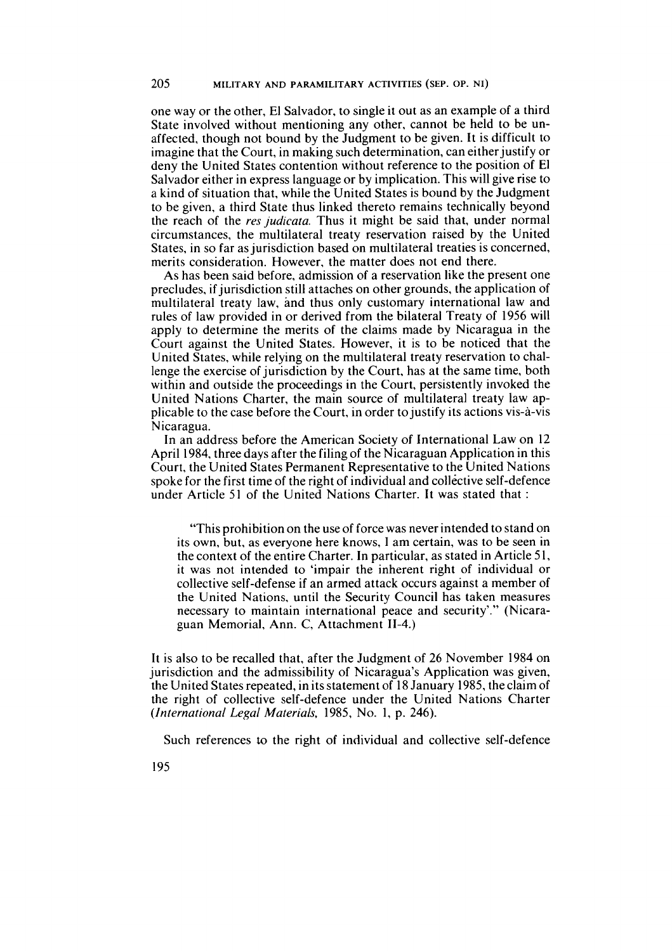one way or the other, El Salvador, to single it out as an example of a third State involved without mentioning any other, cannot be held to be unaffected, though not bound by the Judgment to be given. It is difficult to imagine that the Court, in making such determination, can either justify or deny the United States contention without reference to the position of El Salvador either in express language or by implication. This will give rise to a kind of situation that, while the United States is bound by the Judgment to be given, a third State thus linked thereto remains technically beyond the reach of the res judicata. Thus it might be said that, under normal circumstances, the multilateral treaty reservation raised by the United States, in so far as jurisdiction based on multilateral treaties is concerned, merits consideration. However, the matter does not end there.

As has been said before, admission of a reservation like the present one precludes, if jurisdiction still attaches on other grounds, the application of multilateral treaty law, and thus only customary international law and rules of law provided in or derived from the bilateral Treaty of 1956 will apply to determine the merits of the claims made by Nicaragua in the Court against the United States. However, it is to be noticed that the United States, while relying on the multilateral treaty reservation to challenge the exercise of jurisdiction by the Court, has at the same time, both within and outside the proceedings in the Court, persistently invoked the United Nations Charter, the main source of multilateral treaty law applicable to the case before the Court, in order to justify its actions vis-à-vis Nicaragua.

In an address before the American Society of International Law on 12 April 1984, three days after the filing of the Nicaraguan Application in this Court, the United States Permanent Representative to the United Nations spoke for the first time of the right of individual and collective self-defence under Article 51 of the United Nations Charter. It was stated that :

"This prohibition on the use of force was never intended to stand on its own, but, as everyone here knows, **1** am certain, was to be seen in the context of the entire Charter. In particular, as stated in Article 51, it was not intended to 'impair the inherent right of individual or collective self-defense if an armed attack occurs against a member of the United Nations, until the Security Council has taken measures necessary to maintain international peace and security'." (Nicaraguan Memorial, Ann. C, Attachment 11-4.)

It is also to be recalled that, after the Judgment of 26 November 1984 on jurisdiction and the admissibility of Nicaragua's Application was given, the United States repeated, in its statement of 18 January 1985, the claim of the right of collective self-defence under the United Nations Charter (International Legal Materials, 1985, No. 1, p. 246).

Such references **to** the right of individual and collective self-defence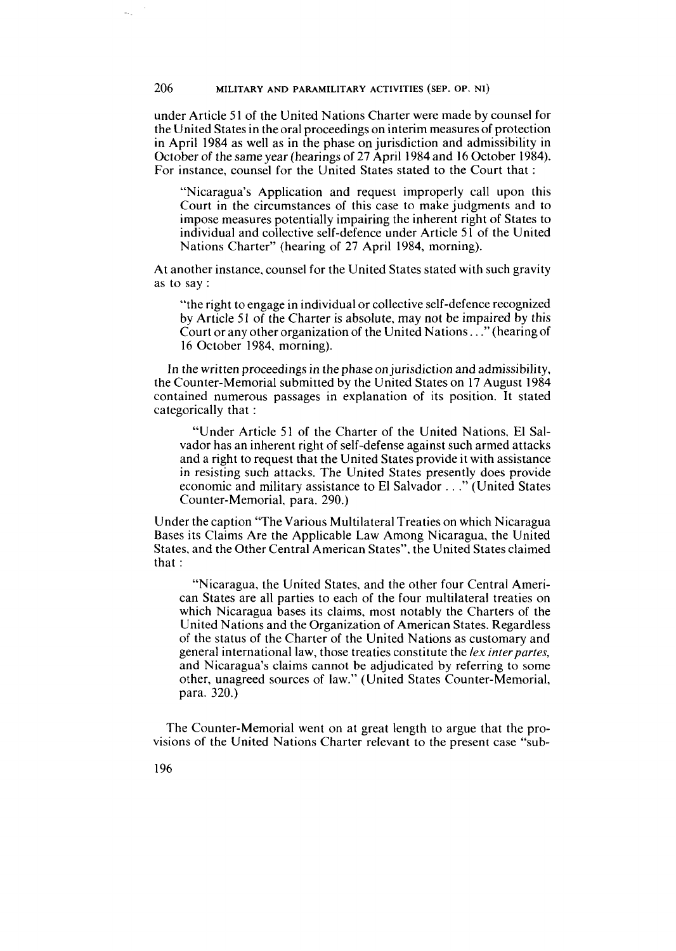under Article *5* 1 of the United Nations Charter were made by counsel for the United States in theoral proceedings on interim measures of protection in April 1984 as well as in the phase on jurisdiction and admissibility in October of the same year (hearings of 27 April 1984 and 16 October 1984). For instance, counsel for the United States stated to the Court that :

"Nicaragua's Application and request improperly call upon this Court in the circumstances of this case to make judgments and to impose measures potentially impairing the inherent right of States to individual and collective self-defence under Article 51 of the United Nations Charter" (hearing of 27 April 1984, morning).

At another instance, counsel for the United States stated with such gravity as to say :

"the right to engage in individual or collective self-defence recognized by Article 51 of the Charter is absolute, may not be impaired by this Court or any other organization of the United Nations.. ." (hearingof 16 October 1984, morning).

In the written proceedings in the phase on jurisdiction and admissibility, the Counter-Memorial submitted by the United States on 17 August 1984 contained numerous passages in explanation of its position. It stated categorically that :

"Under Article 51 of the Charter of the United Nations, El Salvador has an inherent right of self-defense against such armed attacks and a right to request that the United States provide it with assistance in resisting such attacks. The United States presently does provide economic and military assistance to El Salvador . . ." (United States Counter-Memorial. para. 290.)

Under the caption "The Various Multilateral Treaties on which Nicaragua Bases its Claims Are the Applicable Law Among Nicaragua, the United States, and the Other Central American States", the United States claimed that :

"Nicaragua, the United States, and the other four Central American States are al1 parties to each of the four multilateral treaties on which Nicaragua bases its claims, most notably the Charters of the United Nations and the Organization of American States. Regardless of the status of the Charter of the United Nations as customary and general international law, those treaties constitute the **/ex** *interpartes,*  and Nicaragua's claims cannot be adjudicated by referring to some other, unagreed sources of law." (United States Counter-Memorial, para. 320.)

The Counter-Memorial went on at great length to argue that the provisions of the United Nations Charter relevant to the present case "sub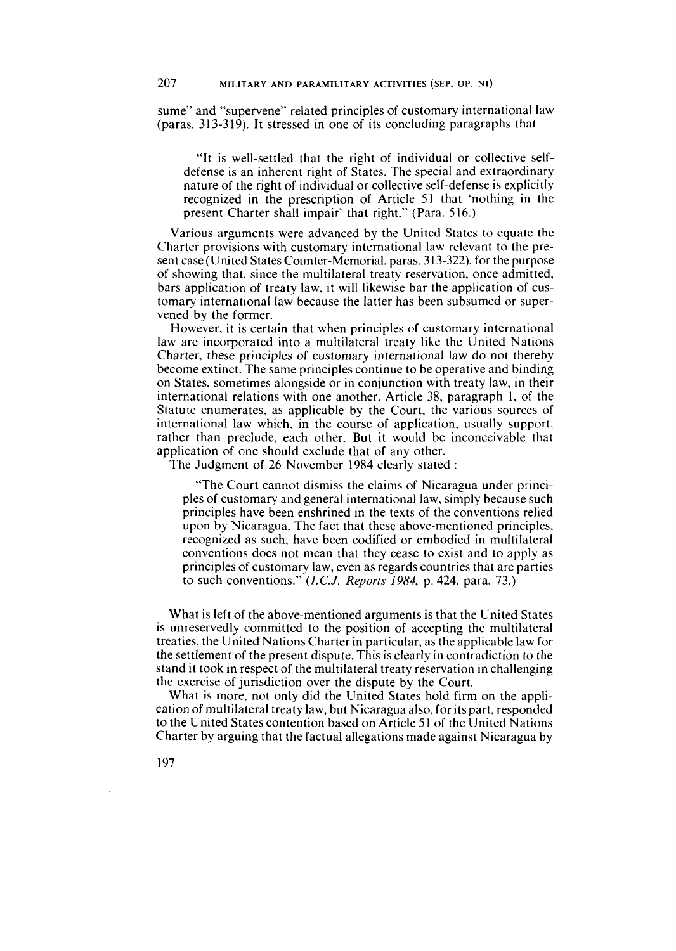sume" and "supervene" related principles of customary international law (paras. 313-319). It stressed in one of its concluding paragraphs that

"It is well-settled that the right of individual or collective selfdefense is an inherent right of States. The special and extraordinary nature of the right of individual or collective self-deferise is explicitly recognized in the prescription of Article 51 that 'nothing in the present Charter shall impair' that right." (Para. 516.)

Various arguments were advanced by the United States to equate the Charter provisions with customary international law relevant to the present case (United States Counter-Memorial. paras. 3 13-322). for the purpose of showing that, since the multilateral treaty reservation. once admitted. bars application of treaty law. it will likewise bar the application of customary international law because the latter has been subsumed or supervened by the former.

However. it is certain that when principles of customary international law are incorporated into a multilateral treaty like the United Nations Charter. these principles of customary international law do not thereby become extinct. The same principles continue to be operative and binding on States. sometimes alongside or in conjunction with treaty law. in their international relations with one another. Article 38. paragraph 1, of the Statute enumerates, as applicable by the Court, the various sources of international law which. in the course of application, usually support. rather than preclude, each other. But it would be inconceivable that application of one should exclude that of any other.

The Judgment of 26 November 1984 clearly stated :

"The Court cannot dismiss the claims of Nicaragua under principles of customary and general international law, simply because such principles have been enshrined in the texts of the conventions relied upon by Nicaragua. The fact that these above-mentioned principles, recognized as such, have been codified or embodied in multilateral conventions does not mean that they cease to exist and to apply as principles of customary law, even as regards countries that are parties to such conventions." *(I.C.J. Reports* 1984, p. 424. para. 73.)

What is left of the above-mentioned arguments is that the United States is unreservedly committed to the position of accepting the multilateral treaties, the United Nations Charter in particular, as the applicable law for the settlement of the present dispute. This is clearly in contradiction to the stand it took in respect of the multilateral treaty reservation in challenging the exercise of jurisdiction over the dispute by the Court.

What is more. not only did the United States hold firm on the application of multilateral treaty law, but Nicaragua also, for its part, responded to the United States contention based on Article 51 of the United Nations Charter by arguing that the factual allegations made against Nicaragua by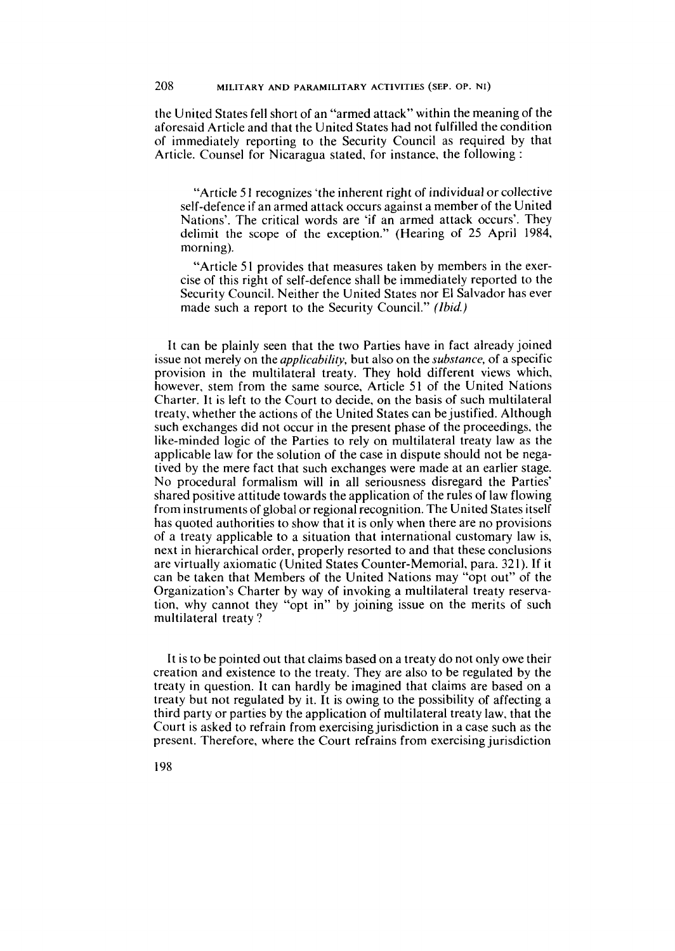the United States fell short of an "armed attack" within the meaning of the aforesaid Article and that the United States had not fulfilled the condition of immediately reporting to the Security Council as required by that Article. Counsel for Nicaragua stated, for instance, the following :

"Article 5 1 recognizes 'the inherent right of individual or collective self-defence if an armed attack occurs against a member of the United Nations'. The critical words are 'if an armed attack occurs'. They delimit the scope of the exception." (Hearing of 25 April 1984, morning).

"Article 51 provides that measures taken by members in the exercise of this right of self-defence shall be immediately reported to the Security Council. Neither the United States nor El Salvador has ever made such a report to the Security Council." *(Ibid)* 

It can be plainly seen that the two Parties have in fact already joined issue not merely on the *applicabilify,* but also on the *substance,* of a specific provision in the multilateral treaty. They hold different views which, however, stem from the same source, Article 51 of the United Nations Charter. It is left to the Court to decide, on the basis of such multilateral treaty, whether the actions of the United States can bejustified. Although such exchanges did not occur in the present phase of the proceedings, the like-minded logic of the Parties to rely on multilateral treaty law as the applicable law for the solution of the case in dispute should not be negatived by the mere fact that such exchanges were made at an earlier stage. No procedural formalism will in al1 seriousness disregard the Parties' shared positive attitude towards the application of the rules of law flowing from instruments of global or regional recognition. The United States itself has quoted authorities to show that it is only when there are no provisions of a treaty applicable to a situation that international customary law is, next in hierarchical order, properly resorted to and that these conclusions are virtually axiomatic (United States Counter-Memorial, para. 321). If it can be taken that Members of the United Nations may "opt out" of the Organization's Charter by way of invoking a multilateral treaty reservation, why cannot they "opt in" by joining issue on the merits of such multilateral treaty ?

It is to be pointed out that claims based on a treaty do not only owe their creation and existence to the treaty. They are also to be regulated by the treaty in question. It can hardly be imagined that claims are based on a treaty but not regulated by it. It is owing to the possibility of affecting a third party or parties by the application of multilateral treaty law, that the Court is asked to refrain from exercising jurisdiction in a case such as the present. Therefore, where the Court refrains from exercising jurisdiction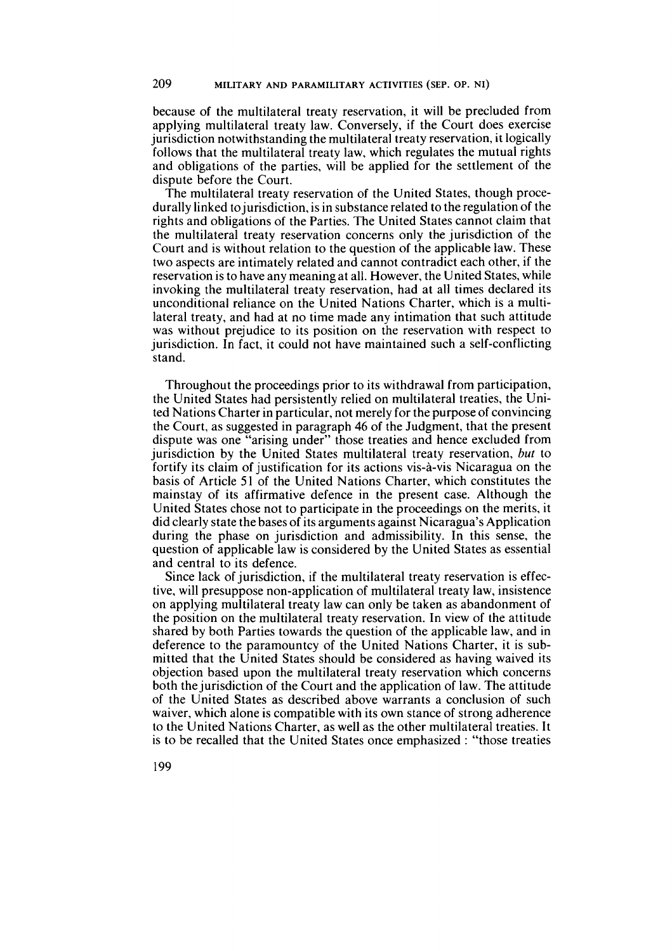because of the multilateral treaty reservation, it will be precluded from applying multilateral treaty law. Conversely, if the Court does exercise jurisdiction notwithstanding the multilateral treaty reservation, it logically follows that the multilateral treaty law, which regulates the mutual rights and obligations of the parties, will be applied for the settlement of the dispute before the Court.

The multilateral treaty reservation of the United States, though procedurally linked tojurisdiction, is in substance related to the regulation of the rights and obligations of the Parties. The United States cannot claim that the multilateral treaty reservation concerns only the jurisdiction of the Court and is without relation to the question of the applicable law. These two aspects are intimately related and cannot contradict each other, if the reservation is to have any meaning at all. However, the United States, while invoking the multilateral treaty reservation, had at al1 times declared its unconditional reliance on the United Nations Charter, which is a multilateral treaty, and had at no time made any intimation that such attitude was without prejudice to its position on the reservation with respect to jurisdiction. In fact, it could not have maintained such a self-conflicting stand.

Throughout the proceedings prior to its withdrawal from participation, the United States had persistently relied on multilateral treaties, the United Nations Charter in particular, not merely for the purpose of convincing the Court, as suggested in paragraph 46 of the Judgment, that the present dispute was one "arising under" those treaties and hence excluded from jurisdiction by the United States multilateral treaty reservation, but to fortify its claim of justification for its actions vis-à-vis Nicaragua on the basis of Article 51 of the United Nations Charter, which constitutes the mainstay of its affirmative defence in the present case. Although the United States chose not to participate in the proceedings on the merits, it did clearly state the bases of its arguments against Nicaragua's Application during the phase on jurisdiction and admissibility. In this sense, the question of applicable law is considered by the United States as essential and central to its defence.

Since lack of jurisdiction, if the multilateral treaty reservation is effective, will presuppose non-application of multilateral treaty law, insistence on applying multilateral treaty law can only be taken as abandonment of the position on the multilateral treaty resemation. In view of the attitude shared by both Parties towards the question of the applicable law, and in deference to the paramountcy of the United Nations Charter, it is submitted that the United States should be considered as having waived its objection based upon the multilateral treaty reservation which concerns both the jurisdiction of the Court and the application of law. The attitude of the United States as described above warrants a conclusion of such waiver, which alone is compatible with its own stance of strong adherence to the United Nations Charter, as well as the other multilateral treaties. It is to be recalled that the United States once emphasized : "those treaties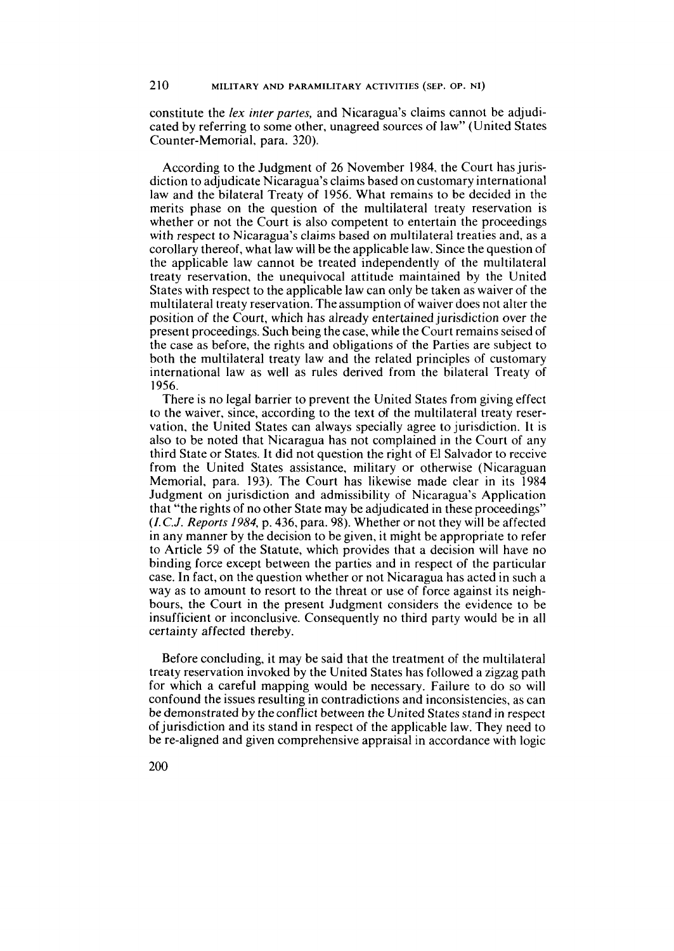constitute the *lex inter partes,* and Nicaragua's claims cannot be adjudicated by referring to some other, unagreed sources of law" (United States Counter-Memorial, para. 320).

According to the Judgment of 26 November 1984, the Court has jurisdiction to adjudicate Nicaragua's claims based on customary international law and the bilateral Treaty of 1956. What remains to be decided in the merits phase on the question of the multilateral treaty reservation is whether or not the Court is also competent to entertain the proceedings with respect to Nicaragua's claims based on multilateral treaties and, as a corollary thereof, what law will be the applicable law. Since the question of the applicable law cannot be treated independently of the multilateral treaty reservation, the unequivocal attitude maintained by the United States with respect to the applicable law can only be taken as waiver of the multilateral treaty reservation. The assumption of waiver does not alter the position of the Court, which has already entertained jurisdiction over the present proceedings. Such being the case, while the Court remains seised of the case as before, the rights and obligations of the Parties are subject to both the multilateral treaty law and the related principles of customary international law as well as rules derived from the bilateral Treaty of 1956.

There is no legal barrier to prevent the United States from giving effect to the waiver, since, according to the text df the multilateral treaty reservation, the United States can always specially agree to jurisdiction. It is also to be noted that Nicaragua has not complained in the Court of any third State or States. It did not question the right of El Salvador to receive from the United States assistance, military or otherwise (Nicaraguan Memorial, para. 193). The Court has likewise made clear in its 1984 Judgment on jurisdiction and admissibility of Nicaragua's Application that "the rights of no other State may be adjudicated in these proceedings" (I.C.J. *Reports* 1984, p. 436, para. 98). Whether or not they will be affected in any manner by the decision to be given, it might be appropriate to refer to Article 59 of the Statute, which provides that a decision will have no binding force except between the parties and in respect of the particular case. In fact, on the question whether or not Nicaragua has acted in such a way as to amount to resort to the threat or use of force against its neighbours, the Court in the present Judgment considers the evidence to be insufficient or inconclusive. Consequently no third party would be in al1 certainty affected thereby.

Before concluding, it may be said that the treatment of the multilateral treaty reservation invoked by the United States has followed a zigzag path for which a careful mapping would be necessary. Failure to do so will confound the issues resulting in contradictions and inconsistencies, as can be demonstrated by the conflict between the United States stand in respect of jurisdiction and its stand in respect of the applicable law. They need to be re-aligned and given comprehensive appraisal in accordance with logic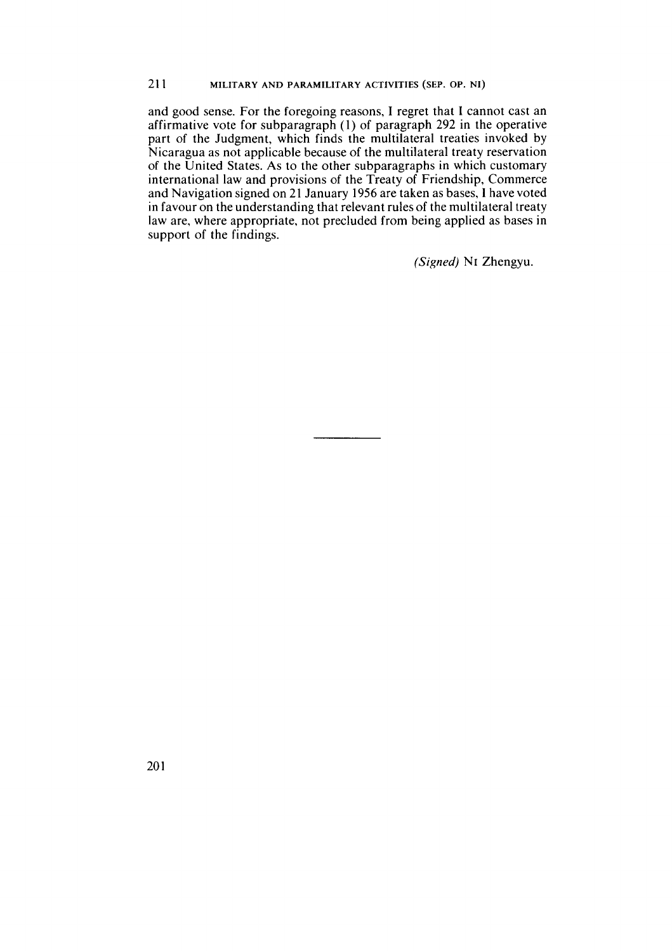and good sense. For the foregoing reasons, **1** regret that **1** cannot cast an affirmative vote for subparagraph (1) of paragraph 292 in the operative part of the Judgment, which finds the multilateral treaties invoked by Nicaragua as not applicable because of the multilateral treaty reservation of the United States. As to the other subparagraphs in which customary international law and provisions of the Treaty of Friendship, Commerce and Navigation signed on 21 January 1956 are taken as bases, 1 have voted in favour on the understanding that relevant rules of the multilateral treaty law are, where appropriate, not precluded from being applied as bases in support of the findings.

(Signed) NI Zhengyu.